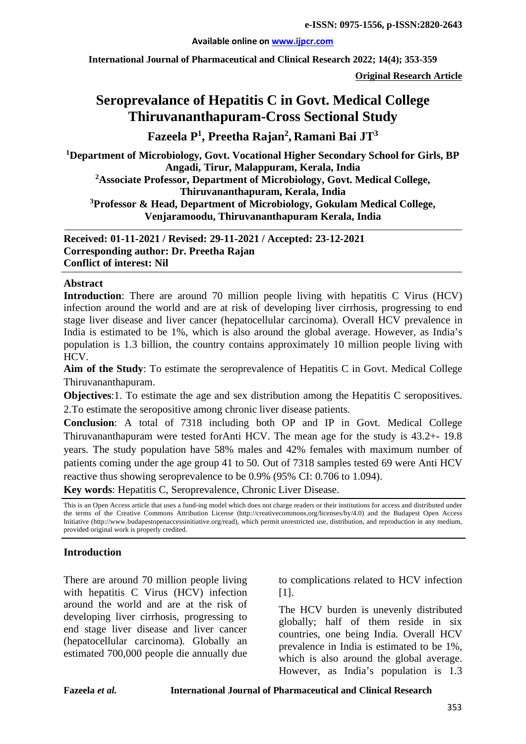#### **Available online on [www.ijpcr.com](http://www.ijpcr.com/)**

**International Journal of Pharmaceutical and Clinical Research 2022; 14(4); 353-359**

**Original Research Article**

# **Seroprevalance of Hepatitis C in Govt. Medical College Thiruvananthapuram-Cross Sectional Study**

**Fazeela P1 , Preetha Rajan2 , Ramani Bai JT3**

**1 Department of Microbiology, Govt. Vocational Higher Secondary School for Girls, BP Angadi, Tirur, Malappuram, Kerala, India 2 Associate Professor, Department of Microbiology, Govt. Medical College, Thiruvananthapuram, Kerala, India 3 Professor & Head, Department of Microbiology, Gokulam Medical College, Venjaramoodu, Thiruvananthapuram Kerala, India**

**Received: 01-11-2021 / Revised: 29-11-2021 / Accepted: 23-12-2021 Corresponding author: Dr. Preetha Rajan Conflict of interest: Nil**

#### **Abstract**

**Introduction**: There are around 70 million people living with hepatitis C Virus (HCV) infection around the world and are at risk of developing liver cirrhosis, progressing to end stage liver disease and liver cancer (hepatocellular carcinoma). Overall HCV prevalence in India is estimated to be 1%, which is also around the global average. However, as India's population is 1.3 billion, the country contains approximately 10 million people living with HCV.

**Aim of the Study**: To estimate the seroprevalence of Hepatitis C in Govt. Medical College Thiruvananthapuram.

**Objectives**:1. To estimate the age and sex distribution among the Hepatitis C seropositives. 2.To estimate the seropositive among chronic liver disease patients.

**Conclusion**: A total of 7318 including both OP and IP in Govt. Medical College Thiruvananthapuram were tested forAnti HCV. The mean age for the study is 43.2+- 19.8 years. The study population have 58% males and 42% females with maximum number of patients coming under the age group 41 to 50. Out of 7318 samples tested 69 were Anti HCV reactive thus showing seroprevalence to be 0.9% (95% CI: 0.706 to 1.094).

**Key words**: Hepatitis C, Seroprevalence, Chronic Liver Disease.

This is an Open Access article that uses a fund-ing model which does not charge readers or their institutions for access and distributed under the terms of the Creative Commons Attribution License (http://creativecommons.org/licenses/by/4.0) and the Budapest Open Access Initiative (http://www.budapestopenaccessinitiative.org/read), which permit unrestricted use, distribution, and reproduction in any medium, provided original work is properly credited.

#### **Introduction**

There are around 70 million people living with hepatitis C Virus (HCV) infection around the world and are at the risk of developing liver cirrhosis, progressing to end stage liver disease and liver cancer (hepatocellular carcinoma). Globally an estimated 700,000 people die annually due to complications related to HCV infection [1].

The HCV burden is unevenly distributed globally; half of them reside in six countries, one being India. Overall HCV prevalence in India is estimated to be 1%, which is also around the global average. However, as India's population is 1.3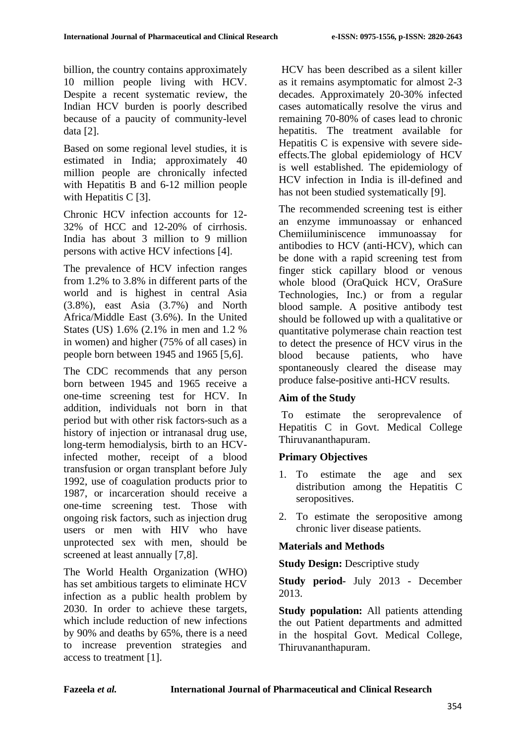billion, the country contains approximately 10 million people living with HCV. Despite a recent systematic review, the Indian HCV burden is poorly described because of a paucity of community-level data [2].

Based on some regional level studies, it is estimated in India; approximately 40 million people are chronically infected with Hepatitis B and 6-12 million people with Hepatitis C [3].

Chronic HCV infection accounts for 12- 32% of HCC and 12-20% of cirrhosis. India has about 3 million to 9 million persons with active HCV infections [4].

The prevalence of HCV infection ranges from 1.2% to 3.8% in different parts of the world and is highest in central Asia (3.8%), east Asia (3.7%) and North Africa/Middle East (3.6%). In the United States (US) 1.6% (2.1% in men and 1.2 % in women) and higher (75% of all cases) in people born between 1945 and 1965 [5,6].

The CDC recommends that any person born between 1945 and 1965 receive a one-time screening test for HCV. In addition, individuals not born in that period but with other risk factors-such as a history of injection or intranasal drug use, long-term hemodialysis, birth to an HCVinfected mother, receipt of a blood transfusion or organ transplant before July 1992, use of coagulation products prior to 1987, or incarceration should receive a one-time screening test. Those with ongoing risk factors, such as injection drug users or men with HIV who have unprotected sex with men, should be screened at least annually [7,8].

The World Health Organization (WHO) has set ambitious targets to eliminate HCV infection as a public health problem by 2030. In order to achieve these targets, which include reduction of new infections by 90% and deaths by 65%, there is a need to increase prevention strategies and access to treatment [1].

HCV has been described as a silent killer as it remains asymptomatic for almost 2-3 decades. Approximately 20-30% infected cases automatically resolve the virus and remaining 70-80% of cases lead to chronic hepatitis. The treatment available for Hepatitis C is expensive with severe sideeffects.The global epidemiology of HCV is well established. The epidemiology of HCV infection in India is ill-defined and has not been studied systematically [9].

The recommended screening test is either an enzyme immunoassay or enhanced Chemiiluminiscence immunoassay for antibodies to HCV (anti-HCV), which can be done with a rapid screening test from finger stick capillary blood or venous whole blood (OraQuick HCV, OraSure Technologies, Inc.) or from a regular blood sample. A positive antibody test should be followed up with a qualitative or quantitative polymerase chain reaction test to detect the presence of HCV virus in the blood because patients, who have spontaneously cleared the disease may produce false-positive anti-HCV results.

# **Aim of the Study**

To estimate the seroprevalence of Hepatitis C in Govt. Medical College Thiruvananthapuram.

# **Primary Objectives**

- 1. To estimate the age and sex distribution among the Hepatitis C seropositives.
- 2. To estimate the seropositive among chronic liver disease patients.

# **Materials and Methods**

**Study Design:** Descriptive study

**Study period-** July 2013 - December 2013.

**Study population:** All patients attending the out Patient departments and admitted in the hospital Govt. Medical College, Thiruvananthapuram.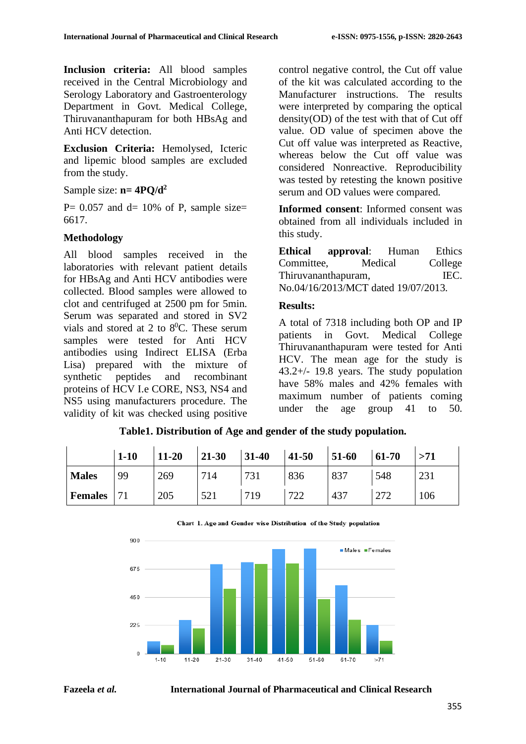**Inclusion criteria:** All blood samples received in the Central Microbiology and Serology Laboratory and Gastroenterology Department in Govt. Medical College, Thiruvananthapuram for both HBsAg and Anti HCV detection.

**Exclusion Criteria:** Hemolysed, Icteric and lipemic blood samples are excluded from the study.

Sample size: **n= 4PQ/d2**

P =  $0.057$  and d =  $10\%$  of P, sample size 6617.

#### **Methodology**

All blood samples received in the laboratories with relevant patient details for HBsAg and Anti HCV antibodies were collected. Blood samples were allowed to clot and centrifuged at 2500 pm for 5min. Serum was separated and stored in SV2 vials and stored at 2 to  $8^0$ C. These serum samples were tested for Anti HCV antibodies using Indirect ELISA (Erba Lisa) prepared with the mixture of synthetic peptides and recombinant proteins of HCV I.e CORE, NS3, NS4 and NS5 using manufacturers procedure. The validity of kit was checked using positive control negative control, the Cut off value of the kit was calculated according to the Manufacturer instructions. The results were interpreted by comparing the optical density(OD) of the test with that of Cut off value. OD value of specimen above the Cut off value was interpreted as Reactive, whereas below the Cut off value was considered Nonreactive. Reproducibility was tested by retesting the known positive serum and OD values were compared.

**Informed consent**: Informed consent was obtained from all individuals included in this study.

**Ethical approval**: Human Ethics Committee, Medical College Thiruvananthapuram, IEC. No.04/16/2013/MCT dated 19/07/2013.

#### **Results:**

A total of 7318 including both OP and IP patients in Govt. Medical College Thiruvananthapuram were tested for Anti HCV. The mean age for the study is 43.2+/- 19.8 years. The study population have 58% males and 42% females with maximum number of patients coming under the age group 41 to 50.

|                | $1 - 10$ | $11 - 20$ | $21 - 30$ | $31 - 40$ | $41 - 50$ | 51-60 | 61-70 | >71 |
|----------------|----------|-----------|-----------|-----------|-----------|-------|-------|-----|
| <b>Males</b>   | 99       | 269       | 714       | 731       | 836       | 837   | 548   | 231 |
| <b>Females</b> |          | 205       | 521       | 719       | 722       | 437   | 272   | 106 |

**Table1. Distribution of Age and gender of the study population.**



Chart 1. Age and Gender wise Distribution of the Study population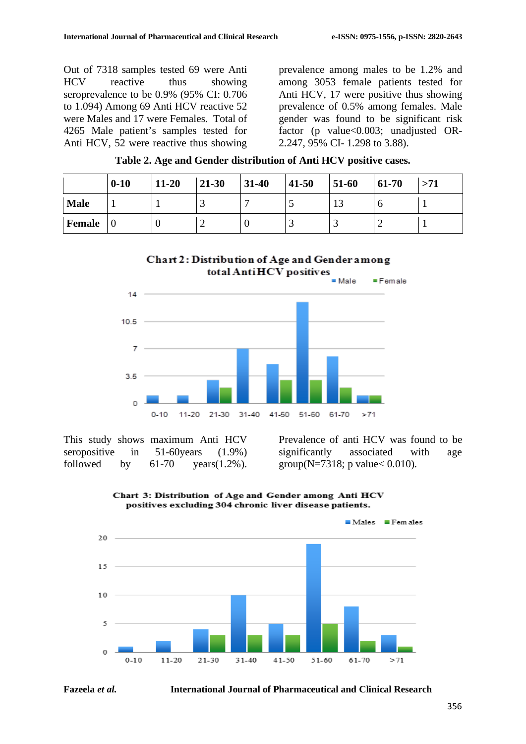Out of 7318 samples tested 69 were Anti HCV reactive thus showing seroprevalence to be 0.9% (95% CI: 0.706 to 1.094) Among 69 Anti HCV reactive 52 were Males and 17 were Females. Total of 4265 Male patient's samples tested for Anti HCV, 52 were reactive thus showing

prevalence among males to be 1.2% and among 3053 female patients tested for Anti HCV, 17 were positive thus showing prevalence of 0.5% among females. Male gender was found to be significant risk factor (p value<0.003; unadjusted OR-2.247, 95% CI- 1.298 to 3.88).

|  | Table 2. Age and Gender distribution of Anti HCV positive cases. |  |  |
|--|------------------------------------------------------------------|--|--|
|  |                                                                  |  |  |

|               | $0 - 10$ | $11-20$ | $21 - 30$ | $31-40$ | $41 - 50$ | $51-60$ | $61-70$ | >71 |
|---------------|----------|---------|-----------|---------|-----------|---------|---------|-----|
| <b>Male</b>   |          |         |           |         | ັ         | IJ      |         |     |
| <b>Female</b> |          |         | -         |         | ت         | ت       |         |     |





This study shows maximum Anti HCV seropositive in 51-60years (1.9%) followed by  $61-70$  years $(1.2\%)$ . Prevalence of anti HCV was found to be significantly associated with age group(N=7318; p value  $< 0.010$ ).





**Fazeela** *et al.* **International Journal of Pharmaceutical and Clinical Research**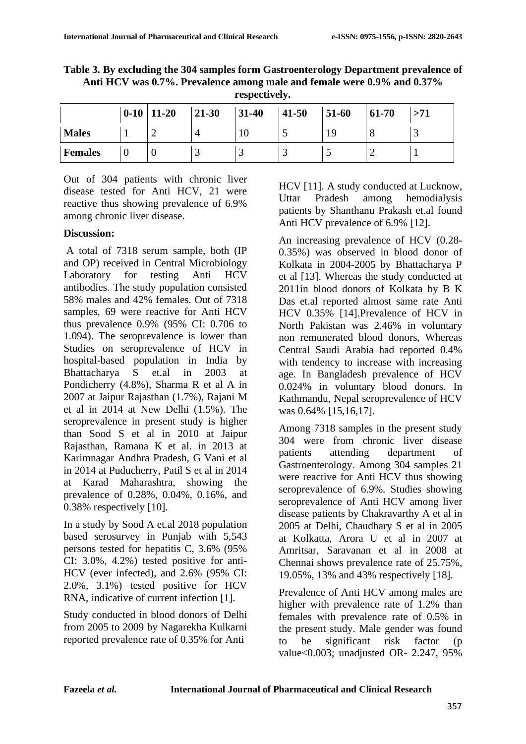| Table 3. By excluding the 304 samples form Gastroenterology Department prevalence of |
|--------------------------------------------------------------------------------------|
| Anti HCV was 0.7%. Prevalence among male and female were 0.9% and 0.37%              |
| respectively.                                                                        |

|                | $0-10$ 11-20 | $21 - 30$ | $31 - 40$ | $41 - 50$ | 51-60 | 61-70 | >71 |
|----------------|--------------|-----------|-----------|-----------|-------|-------|-----|
| <b>Males</b>   |              |           | 1 V J     | ت         | 19    |       |     |
| <b>Females</b> |              |           |           |           | . .   |       |     |

Out of 304 patients with chronic liver disease tested for Anti HCV, 21 were reactive thus showing prevalence of 6.9% among chronic liver disease.

#### **Discussion:**

A total of 7318 serum sample, both (IP and OP) received in Central Microbiology Laboratory for testing Anti HCV antibodies. The study population consisted 58% males and 42% females. Out of 7318 samples, 69 were reactive for Anti HCV thus prevalence 0.9% (95% CI: 0.706 to 1.094). The seroprevalence is lower than Studies on seroprevalence of HCV in hospital-based population in India by Bhattacharya S et.al in 2003 at Pondicherry (4.8%), Sharma R et al A in 2007 at Jaipur Rajasthan (1.7%), Rajani M et al in 2014 at New Delhi (1.5%). The seroprevalence in present study is higher than Sood S et al in 2010 at Jaipur Rajasthan, Ramana K et al. in 2013 at Karimnagar Andhra Pradesh, G Vani et al in 2014 at Puducherry, Patil S et al in 2014 at Karad Maharashtra, showing the prevalence of 0.28%, 0.04%, 0.16%, and 0.38% respectively [10].

In a study by Sood A et.al 2018 population based serosurvey in Punjab with 5,543 persons tested for hepatitis C, 3.6% (95% CI: 3.0%, 4.2%) tested positive for anti-HCV (ever infected), and 2.6% (95% CI: 2.0%, 3.1%) tested positive for HCV RNA, indicative of current infection [1].

Study conducted in blood donors of Delhi from 2005 to 2009 by Nagarekha Kulkarni reported prevalence rate of 0.35% for Anti

HCV [11]. A study conducted at Lucknow, Uttar Pradesh among hemodialysis patients by Shanthanu Prakash et.al found Anti HCV prevalence of 6.9% [12].

An increasing prevalence of HCV (0.28- 0.35%) was observed in blood donor of Kolkata in 2004-2005 by Bhattacharya P et al [13]. Whereas the study conducted at 2011in blood donors of Kolkata by B K Das et.al reported almost same rate Anti HCV 0.35% [14].Prevalence of HCV in North Pakistan was 2.46% in voluntary non remunerated blood donors, Whereas Central Saudi Arabia had reported 0.4% with tendency to increase with increasing age. In Bangladesh prevalence of HCV 0.024% in voluntary blood donors. In Kathmandu, Nepal seroprevalence of HCV was 0.64% [15,16,17].

Among 7318 samples in the present study 304 were from chronic liver disease patients attending department of Gastroenterology. Among 304 samples 21 were reactive for Anti HCV thus showing seroprevalence of 6.9%. Studies showing seroprevalence of Anti HCV among liver disease patients by Chakravarthy A et al in 2005 at Delhi, Chaudhary S et al in 2005 at Kolkatta, Arora U et al in 2007 at Amritsar, Saravanan et al in 2008 at Chennai shows prevalence rate of 25.75%, 19.05%, 13% and 43% respectively [18].

Prevalence of Anti HCV among males are higher with prevalence rate of 1.2% than females with prevalence rate of 0.5% in the present study. Male gender was found to be significant risk factor (p value<0.003; unadjusted OR- 2.247, 95%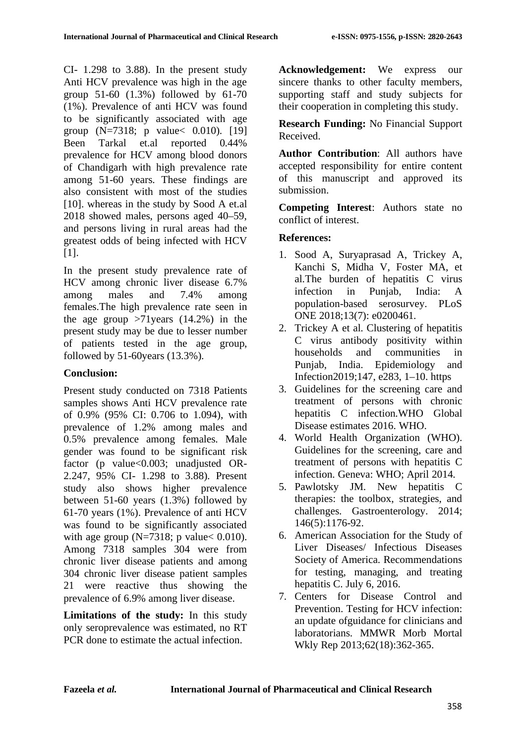CI- 1.298 to 3.88). In the present study Anti HCV prevalence was high in the age group 51-60 (1.3%) followed by 61-70 (1%). Prevalence of anti HCV was found to be significantly associated with age group (N=7318; p value< 0.010). [19] Been Tarkal et.al reported 0.44% prevalence for HCV among blood donors of Chandigarh with high prevalence rate among 51-60 years. These findings are also consistent with most of the studies [10]. whereas in the study by Sood A et.al 2018 showed males, persons aged 40–59, and persons living in rural areas had the greatest odds of being infected with HCV [1].

In the present study prevalence rate of HCV among chronic liver disease 6.7% among males and 7.4% among females.The high prevalence rate seen in the age group  $>71$  years (14.2%) in the present study may be due to lesser number of patients tested in the age group, followed by 51-60years (13.3%).

### **Conclusion:**

Present study conducted on 7318 Patients samples shows Anti HCV prevalence rate of 0.9% (95% CI: 0.706 to 1.094), with prevalence of 1.2% among males and 0.5% prevalence among females. Male gender was found to be significant risk factor (p value<0.003; unadjusted OR-2.247, 95% CI- 1.298 to 3.88). Present study also shows higher prevalence between 51-60 years (1.3%) followed by 61-70 years (1%). Prevalence of anti HCV was found to be significantly associated with age group ( $N=7318$ ; p value < 0.010). Among 7318 samples 304 were from chronic liver disease patients and among 304 chronic liver disease patient samples 21 were reactive thus showing the prevalence of 6.9% among liver disease.

**Limitations of the study:** In this study only seroprevalence was estimated, no RT PCR done to estimate the actual infection.

**Acknowledgement:** We express our sincere thanks to other faculty members, supporting staff and study subjects for their cooperation in completing this study.

**Research Funding:** No Financial Support Received.

**Author Contribution**: All authors have accepted responsibility for entire content of this manuscript and approved its submission.

**Competing Interest**: Authors state no conflict of interest.

# **References:**

- 1. Sood A, Suryaprasad A, Trickey A, Kanchi S, Midha V, Foster MA, et al.The burden of hepatitis C virus infection in Punjab, India: A population-based serosurvey. PLoS ONE 2018;13(7): e0200461.
- 2. Trickey A et al. Clustering of hepatitis C virus antibody positivity within households and communities in Punjab, India. Epidemiology and Infection2019;147, e283, 1–10. https
- 3. Guidelines for the screening care and treatment of persons with chronic hepatitis C infection.WHO Global Disease estimates 2016. WHO.
- 4. World Health Organization (WHO). Guidelines for the screening, care and treatment of persons with hepatitis C infection. Geneva: WHO; April 2014.
- 5. Pawlotsky JM. New hepatitis C therapies: the toolbox, strategies, and challenges. Gastroenterology. 2014; 146(5):1176-92.
- 6. American Association for the Study of Liver Diseases/ Infectious Diseases Society of America. Recommendations for testing, managing, and treating hepatitis C. July 6, 2016.
- 7. Centers for Disease Control and Prevention. Testing for HCV infection: an update ofguidance for clinicians and laboratorians. MMWR Morb Mortal Wkly Rep 2013;62(18):362-365.